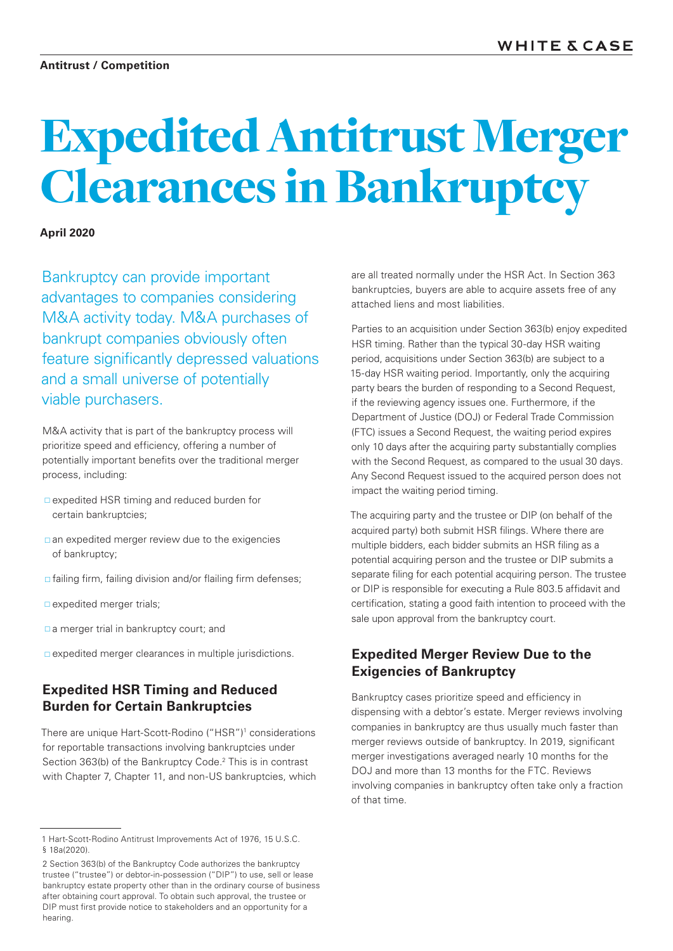# Expedited Antitrust Merger Clearances in Bankruptcy

### **April 2020**

Bankruptcy can provide important advantages to companies considering M&A activity today. M&A purchases of bankrupt companies obviously often feature significantly depressed valuations and a small universe of potentially viable purchasers.

M&A activity that is part of the bankruptcy process will prioritize speed and efficiency, offering a number of potentially important benefits over the traditional merger process, including:

- expedited HSR timing and reduced burden for certain bankruptcies;
- an expedited merger review due to the exigencies of bankruptcy;
- $\Box$  failing firm, failing division and/or flailing firm defenses;
- $\square$  expedited merger trials;
- a merger trial in bankruptcy court; and
- $\square$  expedited merger clearances in multiple jurisdictions.

## **Expedited HSR Timing and Reduced Burden for Certain Bankruptcies**

There are unique Hart-Scott-Rodino ("HSR")<sup>1</sup> considerations for reportable transactions involving bankruptcies under Section 363(b) of the Bankruptcy Code.<sup>2</sup> This is in contrast with Chapter 7, Chapter 11, and non-US bankruptcies, which

are all treated normally under the HSR Act. In Section 363 bankruptcies, buyers are able to acquire assets free of any attached liens and most liabilities.

Parties to an acquisition under Section 363(b) enjoy expedited HSR timing. Rather than the typical 30-day HSR waiting period, acquisitions under Section 363(b) are subject to a 15-day HSR waiting period. Importantly, only the acquiring party bears the burden of responding to a Second Request, if the reviewing agency issues one. Furthermore, if the Department of Justice (DOJ) or Federal Trade Commission (FTC) issues a Second Request, the waiting period expires only 10 days after the acquiring party substantially complies with the Second Request, as compared to the usual 30 days. Any Second Request issued to the acquired person does not impact the waiting period timing.

The acquiring party and the trustee or DIP (on behalf of the acquired party) both submit HSR filings. Where there are multiple bidders, each bidder submits an HSR filing as a potential acquiring person and the trustee or DIP submits a separate filing for each potential acquiring person. The trustee or DIP is responsible for executing a Rule 803.5 affidavit and certification, stating a good faith intention to proceed with the sale upon approval from the bankruptcy court.

## **Expedited Merger Review Due to the Exigencies of Bankruptcy**

Bankruptcy cases prioritize speed and efficiency in dispensing with a debtor's estate. Merger reviews involving companies in bankruptcy are thus usually much faster than merger reviews outside of bankruptcy. In 2019, significant merger investigations averaged nearly 10 months for the DOJ and more than 13 months for the FTC. Reviews involving companies in bankruptcy often take only a fraction of that time.

<sup>1</sup> Hart-Scott-Rodino Antitrust Improvements Act of 1976, 15 U.S.C. § 18a(2020).

<sup>2</sup> Section 363(b) of the Bankruptcy Code authorizes the bankruptcy trustee ("trustee") or debtor-in-possession ("DIP") to use, sell or lease bankruptcy estate property other than in the ordinary course of business after obtaining court approval. To obtain such approval, the trustee or DIP must first provide notice to stakeholders and an opportunity for a hearing.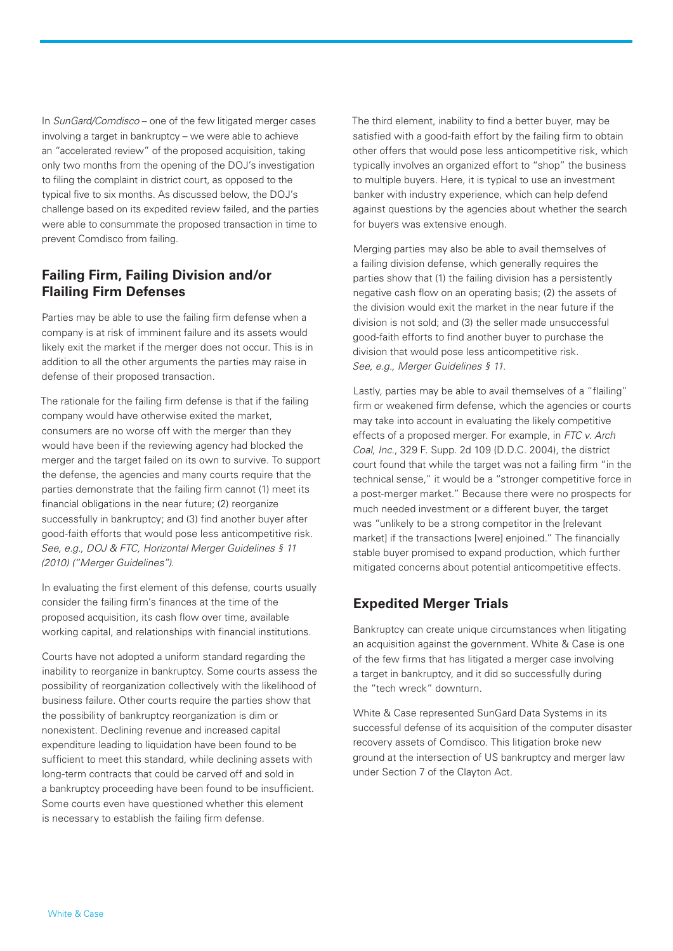In *SunGard/Comdisco* – one of the few litigated merger cases involving a target in bankruptcy – we were able to achieve an "accelerated review" of the proposed acquisition, taking only two months from the opening of the DOJ's investigation to filing the complaint in district court, as opposed to the typical five to six months. As discussed below, the DOJ's challenge based on its expedited review failed, and the parties were able to consummate the proposed transaction in time to prevent Comdisco from failing.

# **Failing Firm, Failing Division and/or Flailing Firm Defenses**

Parties may be able to use the failing firm defense when a company is at risk of imminent failure and its assets would likely exit the market if the merger does not occur. This is in addition to all the other arguments the parties may raise in defense of their proposed transaction.

The rationale for the failing firm defense is that if the failing company would have otherwise exited the market, consumers are no worse off with the merger than they would have been if the reviewing agency had blocked the merger and the target failed on its own to survive. To support the defense, the agencies and many courts require that the parties demonstrate that the failing firm cannot (1) meet its financial obligations in the near future; (2) reorganize successfully in bankruptcy; and (3) find another buyer after good-faith efforts that would pose less anticompetitive risk. *See, e.g., DOJ & FTC, Horizontal Merger Guidelines § 11 (2010) ("Merger Guidelines")*.

In evaluating the first element of this defense, courts usually consider the failing firm's finances at the time of the proposed acquisition, its cash flow over time, available working capital, and relationships with financial institutions.

Courts have not adopted a uniform standard regarding the inability to reorganize in bankruptcy. Some courts assess the possibility of reorganization collectively with the likelihood of business failure. Other courts require the parties show that the possibility of bankruptcy reorganization is dim or nonexistent. Declining revenue and increased capital expenditure leading to liquidation have been found to be sufficient to meet this standard, while declining assets with long-term contracts that could be carved off and sold in a bankruptcy proceeding have been found to be insufficient. Some courts even have questioned whether this element is necessary to establish the failing firm defense.

The third element, inability to find a better buyer, may be satisfied with a good-faith effort by the failing firm to obtain other offers that would pose less anticompetitive risk, which typically involves an organized effort to "shop" the business to multiple buyers. Here, it is typical to use an investment banker with industry experience, which can help defend against questions by the agencies about whether the search for buyers was extensive enough.

Merging parties may also be able to avail themselves of a failing division defense, which generally requires the parties show that (1) the failing division has a persistently negative cash flow on an operating basis; (2) the assets of the division would exit the market in the near future if the division is not sold; and (3) the seller made unsuccessful good-faith efforts to find another buyer to purchase the division that would pose less anticompetitive risk. *See, e.g., Merger Guidelines § 11.*

Lastly, parties may be able to avail themselves of a "flailing" firm or weakened firm defense, which the agencies or courts may take into account in evaluating the likely competitive effects of a proposed merger. For example, in *FTC v. Arch Coal, Inc*., 329 F. Supp. 2d 109 (D.D.C. 2004), the district court found that while the target was not a failing firm "in the technical sense," it would be a "stronger competitive force in a post-merger market." Because there were no prospects for much needed investment or a different buyer, the target was "unlikely to be a strong competitor in the [relevant market] if the transactions [were] enjoined." The financially stable buyer promised to expand production, which further mitigated concerns about potential anticompetitive effects.

# **Expedited Merger Trials**

Bankruptcy can create unique circumstances when litigating an acquisition against the government. White & Case is one of the few firms that has litigated a merger case involving a target in bankruptcy, and it did so successfully during the "tech wreck" downturn.

White & Case represented SunGard Data Systems in its successful defense of its acquisition of the computer disaster recovery assets of Comdisco. This litigation broke new ground at the intersection of US bankruptcy and merger law under Section 7 of the Clayton Act.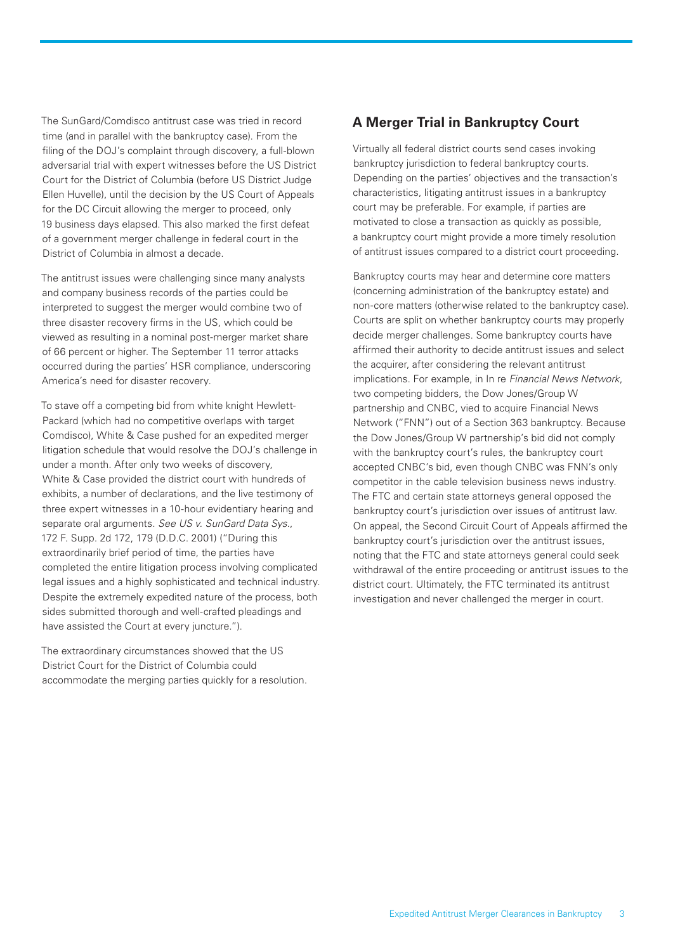The SunGard/Comdisco antitrust case was tried in record time (and in parallel with the bankruptcy case). From the filing of the DOJ's complaint through discovery, a full-blown adversarial trial with expert witnesses before the US District Court for the District of Columbia (before US District Judge Ellen Huvelle), until the decision by the US Court of Appeals for the DC Circuit allowing the merger to proceed, only 19 business days elapsed. This also marked the first defeat of a government merger challenge in federal court in the District of Columbia in almost a decade.

The antitrust issues were challenging since many analysts and company business records of the parties could be interpreted to suggest the merger would combine two of three disaster recovery firms in the US, which could be viewed as resulting in a nominal post-merger market share of 66 percent or higher. The September 11 terror attacks occurred during the parties' HSR compliance, underscoring America's need for disaster recovery.

To stave off a competing bid from white knight Hewlett-Packard (which had no competitive overlaps with target Comdisco), White & Case pushed for an expedited merger litigation schedule that would resolve the DOJ's challenge in under a month. After only two weeks of discovery, White & Case provided the district court with hundreds of exhibits, a number of declarations, and the live testimony of three expert witnesses in a 10-hour evidentiary hearing and separate oral arguments. *See US v. SunGard Data Sys*., 172 F. Supp. 2d 172, 179 (D.D.C. 2001) ("During this extraordinarily brief period of time, the parties have completed the entire litigation process involving complicated legal issues and a highly sophisticated and technical industry. Despite the extremely expedited nature of the process, both sides submitted thorough and well-crafted pleadings and have assisted the Court at every juncture.").

The extraordinary circumstances showed that the US District Court for the District of Columbia could accommodate the merging parties quickly for a resolution.

# **A Merger Trial in Bankruptcy Court**

Virtually all federal district courts send cases invoking bankruptcy jurisdiction to federal bankruptcy courts. Depending on the parties' objectives and the transaction's characteristics, litigating antitrust issues in a bankruptcy court may be preferable. For example, if parties are motivated to close a transaction as quickly as possible, a bankruptcy court might provide a more timely resolution of antitrust issues compared to a district court proceeding.

Bankruptcy courts may hear and determine core matters (concerning administration of the bankruptcy estate) and non-core matters (otherwise related to the bankruptcy case). Courts are split on whether bankruptcy courts may properly decide merger challenges. Some bankruptcy courts have affirmed their authority to decide antitrust issues and select the acquirer, after considering the relevant antitrust implications. For example, in In re *Financial News Network*, two competing bidders, the Dow Jones/Group W partnership and CNBC, vied to acquire Financial News Network ("FNN") out of a Section 363 bankruptcy. Because the Dow Jones/Group W partnership's bid did not comply with the bankruptcy court's rules, the bankruptcy court accepted CNBC's bid, even though CNBC was FNN's only competitor in the cable television business news industry. The FTC and certain state attorneys general opposed the bankruptcy court's jurisdiction over issues of antitrust law. On appeal, the Second Circuit Court of Appeals affirmed the bankruptcy court's jurisdiction over the antitrust issues, noting that the FTC and state attorneys general could seek withdrawal of the entire proceeding or antitrust issues to the district court. Ultimately, the FTC terminated its antitrust investigation and never challenged the merger in court.